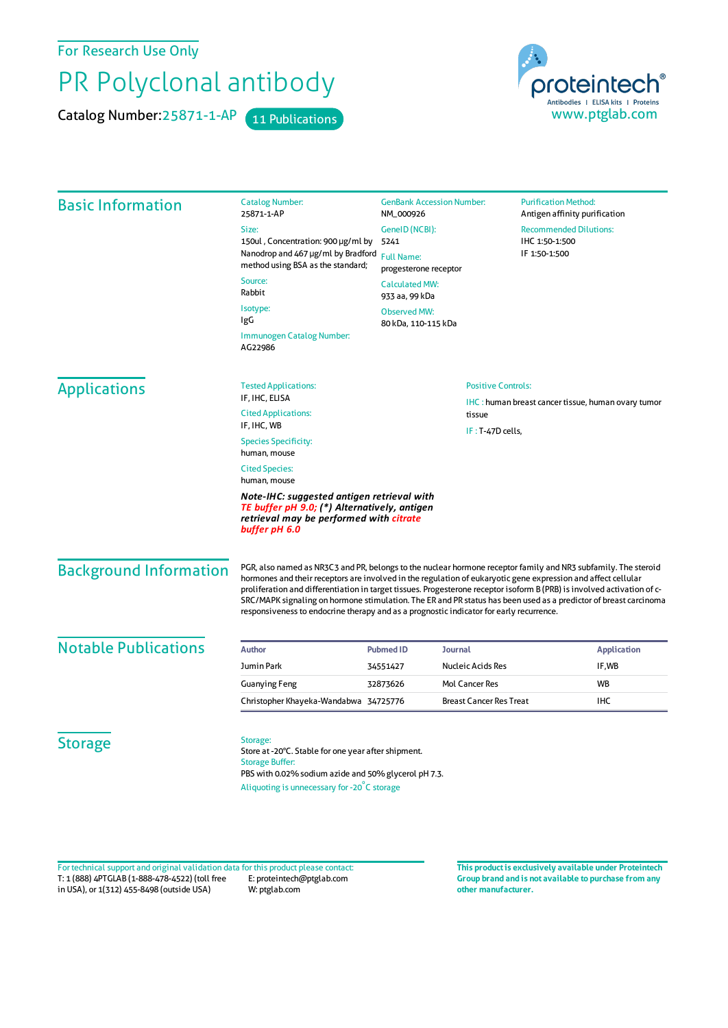For Research Use Only

## PR Polyclonal antibody

Catalog Number: 25871-1-AP 11 Publications



| <b>Basic Information</b>      | <b>Catalog Number:</b><br>25871-1-AP                                                                                                                                                                                                                                                                                                                                                                                                                                                                                                                                      | NM_000926                                                                                     | <b>GenBank Accession Number:</b>                           |                                 | <b>Purification Method:</b><br>Antigen affinity purification |  |
|-------------------------------|---------------------------------------------------------------------------------------------------------------------------------------------------------------------------------------------------------------------------------------------------------------------------------------------------------------------------------------------------------------------------------------------------------------------------------------------------------------------------------------------------------------------------------------------------------------------------|-----------------------------------------------------------------------------------------------|------------------------------------------------------------|---------------------------------|--------------------------------------------------------------|--|
|                               | Size:                                                                                                                                                                                                                                                                                                                                                                                                                                                                                                                                                                     | GeneID (NCBI):                                                                                |                                                            |                                 | <b>Recommended Dilutions:</b>                                |  |
|                               | 150ul, Concentration: 900 µg/ml by                                                                                                                                                                                                                                                                                                                                                                                                                                                                                                                                        | 5241<br><b>Full Name:</b><br>progesterone receptor<br><b>Calculated MW:</b><br>933 aa, 99 kDa |                                                            | IHC 1:50-1:500<br>IF 1:50-1:500 |                                                              |  |
|                               | Nanodrop and 467 µg/ml by Bradford<br>method using BSA as the standard;                                                                                                                                                                                                                                                                                                                                                                                                                                                                                                   |                                                                                               |                                                            |                                 |                                                              |  |
|                               | Source:<br>Rabbit                                                                                                                                                                                                                                                                                                                                                                                                                                                                                                                                                         |                                                                                               |                                                            |                                 |                                                              |  |
|                               | Isotype:<br><b>Observed MW:</b>                                                                                                                                                                                                                                                                                                                                                                                                                                                                                                                                           |                                                                                               |                                                            |                                 |                                                              |  |
|                               | IgG<br>Immunogen Catalog Number:<br>AG22986                                                                                                                                                                                                                                                                                                                                                                                                                                                                                                                               | 80 kDa, 110-115 kDa                                                                           |                                                            |                                 |                                                              |  |
| <b>Applications</b>           | <b>Tested Applications:</b>                                                                                                                                                                                                                                                                                                                                                                                                                                                                                                                                               |                                                                                               | <b>Positive Controls:</b>                                  |                                 |                                                              |  |
|                               | IF, IHC, ELISA                                                                                                                                                                                                                                                                                                                                                                                                                                                                                                                                                            |                                                                                               | <b>IHC</b> : human breast cancer tissue, human ovary tumor |                                 |                                                              |  |
|                               | <b>Cited Applications:</b><br>IF, IHC, WB                                                                                                                                                                                                                                                                                                                                                                                                                                                                                                                                 |                                                                                               | tissue                                                     |                                 |                                                              |  |
|                               | <b>Species Specificity:</b><br>human, mouse                                                                                                                                                                                                                                                                                                                                                                                                                                                                                                                               | IF: T-47D cells,                                                                              |                                                            |                                 |                                                              |  |
|                               | <b>Cited Species:</b><br>human, mouse                                                                                                                                                                                                                                                                                                                                                                                                                                                                                                                                     |                                                                                               |                                                            |                                 |                                                              |  |
|                               | Note-IHC: suggested antigen retrieval with<br>TE buffer pH 9.0; (*) Alternatively, antigen<br>retrieval may be performed with citrate<br>buffer pH 6.0                                                                                                                                                                                                                                                                                                                                                                                                                    |                                                                                               |                                                            |                                 |                                                              |  |
| <b>Background Information</b> | PGR, also named as NR3C3 and PR, belongs to the nuclear hormone receptor family and NR3 subfamily. The steroid<br>hormones and their receptors are involved in the regulation of eukaryotic gene expression and affect cellular<br>proliferation and differentiation in target tissues. Progesterone receptor isoform B (PRB) is involved activation of c-<br>SRC/MAPK signaling on hormone stimulation. The ER and PR status has been used as a predictor of breast carcinoma<br>responsiveness to endocrine therapy and as a prognostic indicator for early recurrence. |                                                                                               |                                                            |                                 |                                                              |  |
| <b>Notable Publications</b>   | <b>Author</b>                                                                                                                                                                                                                                                                                                                                                                                                                                                                                                                                                             | <b>Pubmed ID</b>                                                                              | Journal                                                    |                                 | <b>Application</b>                                           |  |
|                               | Jumin Park                                                                                                                                                                                                                                                                                                                                                                                                                                                                                                                                                                | 34551427                                                                                      | Nucleic Acids Res                                          |                                 | IF,WB                                                        |  |
|                               | <b>Guanying Feng</b>                                                                                                                                                                                                                                                                                                                                                                                                                                                                                                                                                      | 32873626                                                                                      | Mol Cancer Res                                             |                                 | <b>WB</b>                                                    |  |
|                               | Christopher Khayeka-Wandabwa 34725776                                                                                                                                                                                                                                                                                                                                                                                                                                                                                                                                     |                                                                                               | <b>Breast Cancer Res Treat</b>                             |                                 | <b>IHC</b>                                                   |  |
| <b>Storage</b>                | Storage:<br>Store at -20°C. Stable for one year after shipment.<br><b>Storage Buffer:</b><br>PBS with 0.02% sodium azide and 50% glycerol pH 7.3.<br>Aliquoting is unnecessary for -20°C storage                                                                                                                                                                                                                                                                                                                                                                          |                                                                                               |                                                            |                                 |                                                              |  |

T: 1 (888) 4PTGLAB (1-888-478-4522) (toll free in USA), or 1(312) 455-8498 (outside USA) E: proteintech@ptglab.com W: ptglab.com Fortechnical support and original validation data forthis product please contact: **This productis exclusively available under Proteintech**

**Group brand and is not available to purchase from any other manufacturer.**